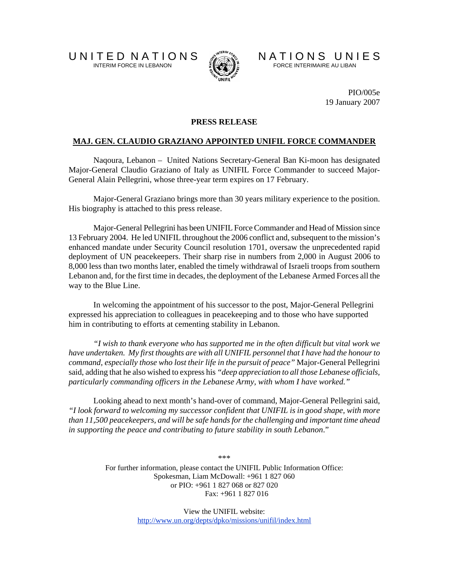

U N I T E D N A T I O N S AN A T I O N S N A T I O N S U N I E S

PIO/005e 19 January 2007

## **PRESS RELEASE**

## **MAJ. GEN. CLAUDIO GRAZIANO APPOINTED UNIFIL FORCE COMMANDER**

Naqoura, Lebanon – United Nations Secretary-General Ban Ki-moon has designated Major-General Claudio Graziano of Italy as UNIFIL Force Commander to succeed Major-General Alain Pellegrini, whose three-year term expires on 17 February.

Major-General Graziano brings more than 30 years military experience to the position. His biography is attached to this press release.

Major-General Pellegrini has been UNIFIL Force Commander and Head of Mission since 13 February 2004. He led UNIFIL throughout the 2006 conflict and, subsequent to the mission's enhanced mandate under Security Council resolution 1701, oversaw the unprecedented rapid deployment of UN peacekeepers. Their sharp rise in numbers from 2,000 in August 2006 to 8,000 less than two months later, enabled the timely withdrawal of Israeli troops from southern Lebanon and, for the first time in decades, the deployment of the Lebanese Armed Forces all the way to the Blue Line.

 In welcoming the appointment of his successor to the post, Major-General Pellegrini expressed his appreciation to colleagues in peacekeeping and to those who have supported him in contributing to efforts at cementing stability in Lebanon.

*"I wish to thank everyone who has supported me in the often difficult but vital work we have undertaken. My first thoughts are with all UNIFIL personnel that I have had the honour to command, especially those who lost their life in the pursuit of peace"* Major-General Pellegrini said, adding that he also wished to express his *"deep appreciation to all those Lebanese officials, particularly commanding officers in the Lebanese Army, with whom I have worked."* 

Looking ahead to next month's hand-over of command, Major-General Pellegrini said, *"I look forward to welcoming my successor confident that UNIFIL is in good shape, with more than 11,500 peacekeepers, and will be safe hands for the challenging and important time ahead in supporting the peace and contributing to future stability in south Lebanon*."

\*\*\*

For further information, please contact the UNIFIL Public Information Office: Spokesman, Liam McDowall: +961 1 827 060 or PIO: +961 1 827 068 or 827 020 Fax: +961 1 827 016

> View the UNIFIL website: http://www.un.org/depts/dpko/missions/unifil/index.html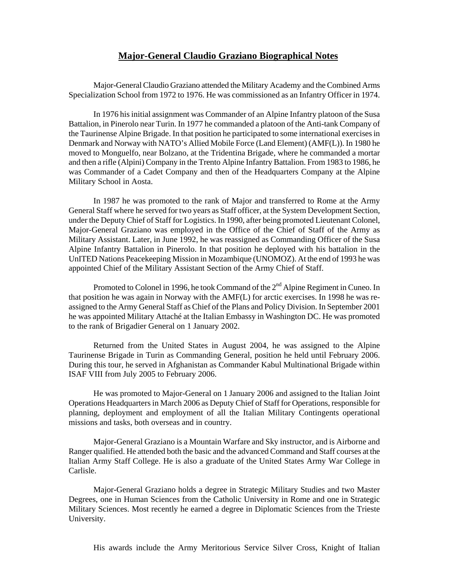## **Major-General Claudio Graziano Biographical Notes**

Major-General Claudio Graziano attended the Military Academy and the Combined Arms Specialization School from 1972 to 1976. He was commissioned as an Infantry Officer in 1974.

In 1976 his initial assignment was Commander of an Alpine Infantry platoon of the Susa Battalion, in Pinerolo near Turin. In 1977 he commanded a platoon of the Anti-tank Company of the Taurinense Alpine Brigade. In that position he participated to some international exercises in Denmark and Norway with NATO's Allied Mobile Force (Land Element) (AMF(L)). In 1980 he moved to Monguelfo, near Bolzano, at the Tridentina Brigade, where he commanded a mortar and then a rifle (Alpini) Company in the Trento Alpine Infantry Battalion. From 1983 to 1986, he was Commander of a Cadet Company and then of the Headquarters Company at the Alpine Military School in Aosta.

In 1987 he was promoted to the rank of Major and transferred to Rome at the Army General Staff where he served for two years as Staff officer, at the System Development Section, under the Deputy Chief of Staff for Logistics. In 1990, after being promoted Lieutenant Colonel, Major-General Graziano was employed in the Office of the Chief of Staff of the Army as Military Assistant. Later, in June 1992, he was reassigned as Commanding Officer of the Susa Alpine Infantry Battalion in Pinerolo. In that position he deployed with his battalion in the UnITED Nations Peacekeeping Mission in Mozambique (UNOMOZ). At the end of 1993 he was appointed Chief of the Military Assistant Section of the Army Chief of Staff.

Promoted to Colonel in 1996, he took Command of the 2<sup>nd</sup> Alpine Regiment in Cuneo. In that position he was again in Norway with the AMF(L) for arctic exercises. In 1998 he was reassigned to the Army General Staff as Chief of the Plans and Policy Division. In September 2001 he was appointed Military Attaché at the Italian Embassy in Washington DC. He was promoted to the rank of Brigadier General on 1 January 2002.

Returned from the United States in August 2004, he was assigned to the Alpine Taurinense Brigade in Turin as Commanding General, position he held until February 2006. During this tour, he served in Afghanistan as Commander Kabul Multinational Brigade within ISAF VIII from July 2005 to February 2006.

He was promoted to Major-General on 1 January 2006 and assigned to the Italian Joint Operations Headquarters in March 2006 as Deputy Chief of Staff for Operations, responsible for planning, deployment and employment of all the Italian Military Contingents operational missions and tasks, both overseas and in country.

Major-General Graziano is a Mountain Warfare and Sky instructor, and is Airborne and Ranger qualified. He attended both the basic and the advanced Command and Staff courses at the Italian Army Staff College. He is also a graduate of the United States Army War College in Carlisle.

Major-General Graziano holds a degree in Strategic Military Studies and two Master Degrees, one in Human Sciences from the Catholic University in Rome and one in Strategic Military Sciences. Most recently he earned a degree in Diplomatic Sciences from the Trieste University.

His awards include the Army Meritorious Service Silver Cross, Knight of Italian